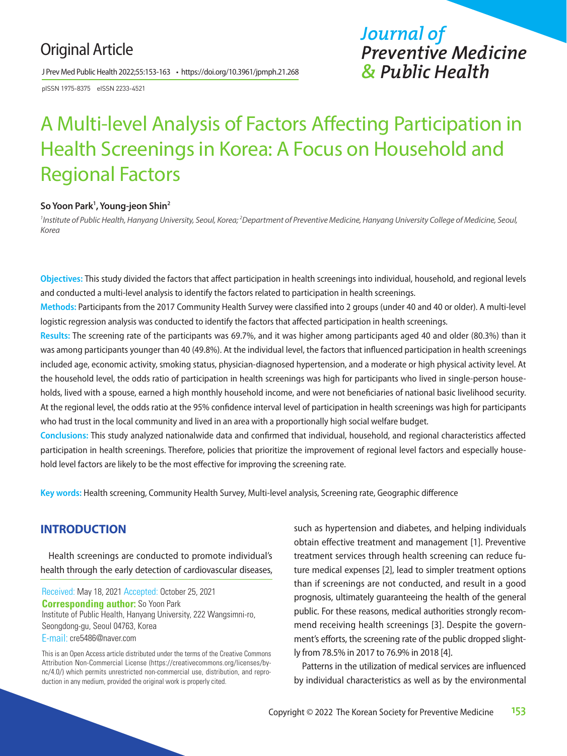## Original Article

J Prev Med Public Health 2022;55:153-163 • https://doi.org/10.3961/jpmph.21.268

pISSN 1975-8375 eISSN 2233-4521

## *Journal of Preventive Medicine & Public Health*

# A Multi-level Analysis of Factors Affecting Participation in Health Screenings in Korea: A Focus on Household and Regional Factors

#### **So Yoon Park1 , Young-jeon Shin2**

<sup>1</sup> Institute of Public Health, Hanyang University, Seoul, Korea; <sup>2</sup>Department of Preventive Medicine, Hanyang University College of Medicine, Seoul, *Korea*

**Objectives:** This study divided the factors that affect participation in health screenings into individual, household, and regional levels and conducted a multi-level analysis to identify the factors related to participation in health screenings.

**Methods:** Participants from the 2017 Community Health Survey were classified into 2 groups (under 40 and 40 or older). A multi-level logistic regression analysis was conducted to identify the factors that affected participation in health screenings.

**Results:** The screening rate of the participants was 69.7%, and it was higher among participants aged 40 and older (80.3%) than it was among participants younger than 40 (49.8%). At the individual level, the factors that influenced participation in health screenings included age, economic activity, smoking status, physician-diagnosed hypertension, and a moderate or high physical activity level. At the household level, the odds ratio of participation in health screenings was high for participants who lived in single-person households, lived with a spouse, earned a high monthly household income, and were not beneficiaries of national basic livelihood security. At the regional level, the odds ratio at the 95% confidence interval level of participation in health screenings was high for participants who had trust in the local community and lived in an area with a proportionally high social welfare budget.

**Conclusions:** This study analyzed nationalwide data and confirmed that individual, household, and regional characteristics affected participation in health screenings. Therefore, policies that prioritize the improvement of regional level factors and especially household level factors are likely to be the most effective for improving the screening rate.

**Key words:** Health screening, Community Health Survey, Multi-level analysis, Screening rate, Geographic difference

#### **INTRODUCTION**

Health screenings are conducted to promote individual's health through the early detection of cardiovascular diseases,

Received: May 18, 2021 Accepted: October 25, 2021 **Corresponding author:** So Yoon Park Institute of Public Health, Hanyang University, 222 Wangsimni-ro, Seongdong-gu, Seoul 04763, Korea E-mail: cre5486@naver.com

This is an Open Access article distributed under the terms of the Creative Commons Attribution Non-Commercial License (https://creativecommons.org/licenses/bync/4.0/) which permits unrestricted non-commercial use, distribution, and reproduction in any medium, provided the original work is properly cited.

such as hypertension and diabetes, and helping individuals obtain effective treatment and management [1]. Preventive treatment services through health screening can reduce future medical expenses [2], lead to simpler treatment options than if screenings are not conducted, and result in a good prognosis, ultimately guaranteeing the health of the general public. For these reasons, medical authorities strongly recommend receiving health screenings [3]. Despite the government's efforts, the screening rate of the public dropped slightly from 78.5% in 2017 to 76.9% in 2018 [4].

Patterns in the utilization of medical services are influenced by individual characteristics as well as by the environmental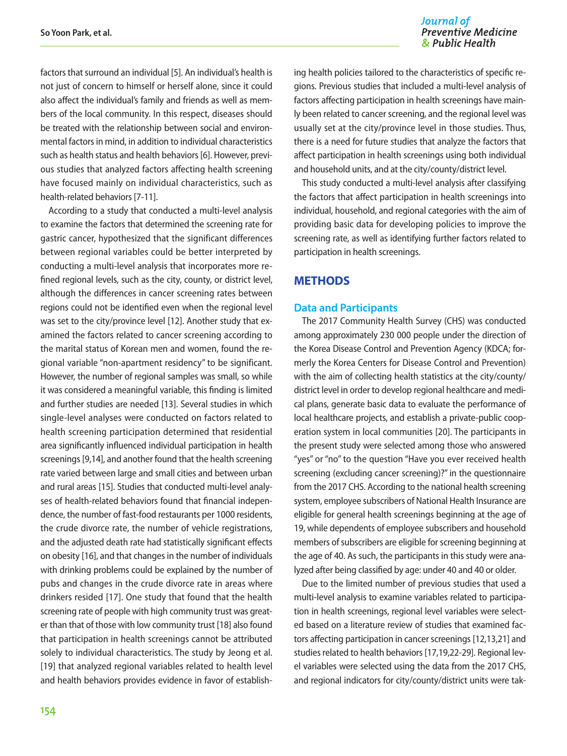Journal of **Preventive Medicine** & Public Health

factors that surround an individual [5]. An individual's health is not just of concern to himself or herself alone, since it could also affect the individual's family and friends as well as members of the local community. In this respect, diseases should be treated with the relationship between social and environmental factors in mind, in addition to individual characteristics such as health status and health behaviors [6]. However, previous studies that analyzed factors affecting health screening have focused mainly on individual characteristics, such as health-related behaviors [7-11].

According to a study that conducted a multi-level analysis to examine the factors that determined the screening rate for gastric cancer, hypothesized that the significant differences between regional variables could be better interpreted by conducting a multi-level analysis that incorporates more refined regional levels, such as the city, county, or district level, although the differences in cancer screening rates between regions could not be identified even when the regional level was set to the city/province level [12]. Another study that examined the factors related to cancer screening according to the marital status of Korean men and women, found the regional variable "non-apartment residency" to be significant. However, the number of regional samples was small, so while it was considered a meaningful variable, this finding is limited and further studies are needed [13]. Several studies in which single-level analyses were conducted on factors related to health screening participation determined that residential area significantly influenced individual participation in health screenings [9,14], and another found that the health screening rate varied between large and small cities and between urban and rural areas [15]. Studies that conducted multi-level analyses of health-related behaviors found that financial independence, the number of fast-food restaurants per 1000 residents, the crude divorce rate, the number of vehicle registrations, and the adjusted death rate had statistically significant effects on obesity [16], and that changes in the number of individuals with drinking problems could be explained by the number of pubs and changes in the crude divorce rate in areas where drinkers resided [17]. One study that found that the health screening rate of people with high community trust was greater than that of those with low community trust [18] also found that participation in health screenings cannot be attributed solely to individual characteristics. The study by Jeong et al. [19] that analyzed regional variables related to health level and health behaviors provides evidence in favor of establish-

ing health policies tailored to the characteristics of specific regions. Previous studies that included a multi-level analysis of factors affecting participation in health screenings have mainly been related to cancer screening, and the regional level was usually set at the city/province level in those studies. Thus, there is a need for future studies that analyze the factors that affect participation in health screenings using both individual and household units, and at the city/county/district level.

This study conducted a multi-level analysis after classifying the factors that affect participation in health screenings into individual, household, and regional categories with the aim of providing basic data for developing policies to improve the screening rate, as well as identifying further factors related to participation in health screenings.

#### **METHODS**

#### **Data and Participants**

The 2017 Community Health Survey (CHS) was conducted among approximately 230 000 people under the direction of the Korea Disease Control and Prevention Agency (KDCA; formerly the Korea Centers for Disease Control and Prevention) with the aim of collecting health statistics at the city/county/ district level in order to develop regional healthcare and medical plans, generate basic data to evaluate the performance of local healthcare projects, and establish a private-public cooperation system in local communities [20]. The participants in the present study were selected among those who answered "yes" or "no" to the question "Have you ever received health screening (excluding cancer screening)?" in the questionnaire from the 2017 CHS. According to the national health screening system, employee subscribers of National Health Insurance are eligible for general health screenings beginning at the age of 19, while dependents of employee subscribers and household members of subscribers are eligible for screening beginning at the age of 40. As such, the participants in this study were analyzed after being classified by age: under 40 and 40 or older.

Due to the limited number of previous studies that used a multi-level analysis to examine variables related to participation in health screenings, regional level variables were selected based on a literature review of studies that examined factors affecting participation in cancer screenings [12,13,21] and studies related to health behaviors [17,19,22-29]. Regional level variables were selected using the data from the 2017 CHS, and regional indicators for city/county/district units were tak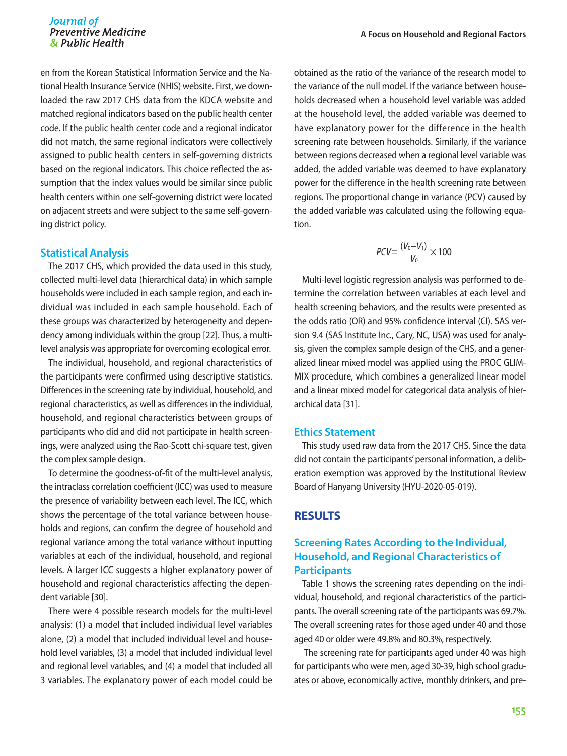en from the Korean Statistical Information Service and the National Health Insurance Service (NHIS) website. First, we downloaded the raw 2017 CHS data from the KDCA website and matched regional indicators based on the public health center code. If the public health center code and a regional indicator did not match, the same regional indicators were collectively assigned to public health centers in self-governing districts based on the regional indicators. This choice reflected the assumption that the index values would be similar since public health centers within one self-governing district were located on adjacent streets and were subject to the same self-governing district policy.

#### **Statistical Analysis**

The 2017 CHS, which provided the data used in this study, collected multi-level data (hierarchical data) in which sample households were included in each sample region, and each individual was included in each sample household. Each of these groups was characterized by heterogeneity and dependency among individuals within the group [22]. Thus, a multilevel analysis was appropriate for overcoming ecological error.

The individual, household, and regional characteristics of the participants were confirmed using descriptive statistics. Differences in the screening rate by individual, household, and regional characteristics, as well as differences in the individual, household, and regional characteristics between groups of participants who did and did not participate in health screenings, were analyzed using the Rao-Scott chi-square test, given the complex sample design.

To determine the goodness-of-fit of the multi-level analysis, the intraclass correlation coefficient (ICC) was used to measure the presence of variability between each level. The ICC, which shows the percentage of the total variance between households and regions, can confirm the degree of household and regional variance among the total variance without inputting variables at each of the individual, household, and regional levels. A larger ICC suggests a higher explanatory power of household and regional characteristics affecting the dependent variable [30].

There were 4 possible research models for the multi-level analysis: (1) a model that included individual level variables alone, (2) a model that included individual level and household level variables, (3) a model that included individual level and regional level variables, and (4) a model that included all 3 variables. The explanatory power of each model could be obtained as the ratio of the variance of the research model to the variance of the null model. If the variance between households decreased when a household level variable was added at the household level, the added variable was deemed to have explanatory power for the difference in the health screening rate between households. Similarly, if the variance between regions decreased when a regional level variable was added, the added variable was deemed to have explanatory power for the difference in the health screening rate between regions. The proportional change in variance (PCV) caused by the added variable was calculated using the following equation.

$$
PCV = \frac{(V_0 - V_1)}{V_0} \times 100
$$

Multi-level logistic regression analysis was performed to determine the correlation between variables at each level and health screening behaviors, and the results were presented as the odds ratio (OR) and 95% confidence interval (CI). SAS version 9.4 (SAS Institute Inc., Cary, NC, USA) was used for analysis, given the complex sample design of the CHS, and a generalized linear mixed model was applied using the PROC GLIM-MIX procedure, which combines a generalized linear model and a linear mixed model for categorical data analysis of hierarchical data [31].

#### **Ethics Statement**

This study used raw data from the 2017 CHS. Since the data did not contain the participants' personal information, a deliberation exemption was approved by the Institutional Review Board of Hanyang University (HYU-2020-05-019).

#### **RESULTS**

#### **Screening Rates According to the Individual, Household, and Regional Characteristics of Participants**

Table 1 shows the screening rates depending on the individual, household, and regional characteristics of the participants. The overall screening rate of the participants was 69.7%. The overall screening rates for those aged under 40 and those aged 40 or older were 49.8% and 80.3%, respectively.

 The screening rate for participants aged under 40 was high for participants who were men, aged 30-39, high school graduates or above, economically active, monthly drinkers, and pre-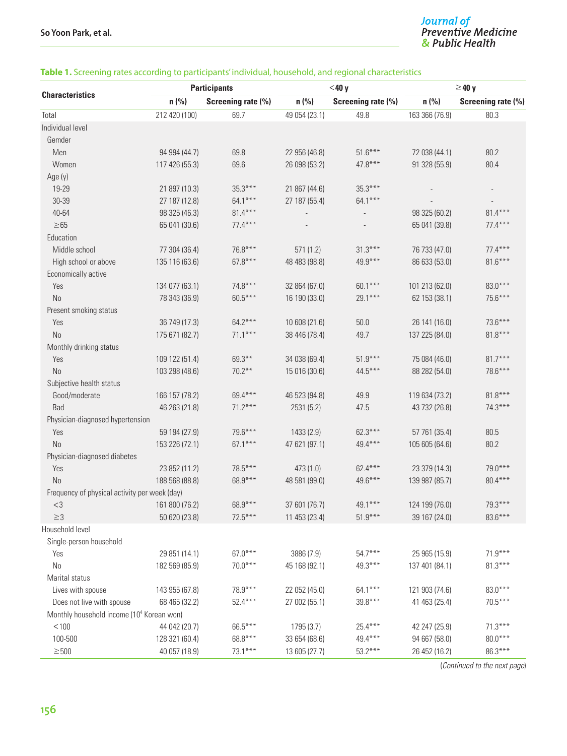# J<mark>ournal of</mark><br>Preventive Medicine<br>& Public Health

#### **Table 1.** Screening rates according to participants' individual, household, and regional characteristics

|                                                       | <b>Participants</b> |                    | $<$ 40 y      |                    | $\geq$ 40 y    |                    |
|-------------------------------------------------------|---------------------|--------------------|---------------|--------------------|----------------|--------------------|
| <b>Characteristics</b>                                | n(%                 | Screening rate (%) | n (%)         | Screening rate (%) | n(% )          | Screening rate (%) |
| Total                                                 | 212 420 (100)       | 69.7               | 49 054 (23.1) | 49.8               | 163 366 (76.9) | 80.3               |
| Individual level                                      |                     |                    |               |                    |                |                    |
| Gemder                                                |                     |                    |               |                    |                |                    |
| Men                                                   | 94 994 (44.7)       | 69.8               | 22 956 (46.8) | $51.6***$          | 72 038 (44.1)  | 80.2               |
| Women                                                 | 117 426 (55.3)      | 69.6               | 26 098 (53.2) | $47.8***$          | 91 328 (55.9)  | 80.4               |
| Age (y)                                               |                     |                    |               |                    |                |                    |
| 19-29                                                 | 21 897 (10.3)       | $35.3***$          | 21 867 (44.6) | $35.3***$          |                |                    |
| 30-39                                                 | 27 187 (12.8)       | 64.1***            | 27 187 (55.4) | 64.1***            |                |                    |
| 40-64                                                 | 98 325 (46.3)       | $81.4***$          |               |                    | 98 325 (60.2)  | $81.4***$          |
| $\geq 65$                                             | 65 041 (30.6)       | $77.4***$          |               |                    | 65 041 (39.8)  | $77.4***$          |
| Education                                             |                     |                    |               |                    |                |                    |
| Middle school                                         | 77 304 (36.4)       | 76.8***            | 571(1.2)      | $31.3***$          | 76 733 (47.0)  | $77.4***$          |
| High school or above                                  | 135 116 (63.6)      | $67.8***$          | 48 483 (98.8) | 49.9***            | 86 633 (53.0)  | $81.6***$          |
| Economically active                                   |                     |                    |               |                    |                |                    |
| Yes                                                   | 134 077 (63.1)      | $74.8***$          | 32 864 (67.0) | 60.1***            | 101 213 (62.0) | $83.0***$          |
| No                                                    | 78 343 (36.9)       | $60.5***$          | 16 190 (33.0) | 29.1***            | 62 153 (38.1)  | 75.6***            |
| Present smoking status                                |                     |                    |               |                    |                |                    |
| Yes                                                   | 36 749 (17.3)       | $64.2***$          | 10 608 (21.6) | 50.0               | 26 141 (16.0)  | $73.6***$          |
| <b>No</b>                                             | 175 671 (82.7)      | $71.1***$          | 38 446 (78.4) | 49.7               | 137 225 (84.0) | $81.8***$          |
| Monthly drinking status                               |                     |                    |               |                    |                |                    |
| Yes                                                   | 109 122 (51.4)      | $69.3***$          | 34 038 (69.4) | $51.9***$          | 75 084 (46.0)  | $81.7***$          |
| No                                                    | 103 298 (48.6)      | $70.2***$          | 15 016 (30.6) | 44.5***            | 88 282 (54.0)  | 78.6***            |
| Subjective health status                              |                     |                    |               |                    |                |                    |
| Good/moderate                                         | 166 157 (78.2)      | 69.4***            | 46 523 (94.8) | 49.9               | 119 634 (73.2) | $81.8***$          |
| Bad                                                   | 46 263 (21.8)       | $71.2***$          | 2531 (5.2)    | 47.5               | 43 732 (26.8)  | $74.3***$          |
| Physician-diagnosed hypertension                      |                     |                    |               |                    |                |                    |
| Yes                                                   | 59 194 (27.9)       | 79.6***            | 1433 (2.9)    | $62.3***$          | 57 761 (35.4)  | 80.5               |
| <b>No</b>                                             | 153 226 (72.1)      | $67.1***$          | 47 621 (97.1) | 49.4***            | 105 605 (64.6) | 80.2               |
| Physician-diagnosed diabetes                          |                     |                    |               |                    |                |                    |
| Yes                                                   | 23 852 (11.2)       | 78.5***            | 473 (1.0)     | 62.4***            | 23 379 (14.3)  | 79.0***            |
| No                                                    | 188 568 (88.8)      | 68.9***            | 48 581 (99.0) | 49.6***            | 139 987 (85.7) | 80.4***            |
| Frequency of physical activity per week (day)         |                     |                    |               |                    |                |                    |
| $<$ 3                                                 | 161 800 (76.2)      | 68.9***            | 37 601 (76.7) | 49.1***            | 124 199 (76.0) | $79.3***$          |
| $\geq$ 3                                              | 50 620 (23.8)       | $72.5***$          | 11 453 (23.4) | $51.9***$          | 39 167 (24.0)  | 83.6***            |
| Household level                                       |                     |                    |               |                    |                |                    |
| Single-person household                               |                     |                    |               |                    |                |                    |
| Yes                                                   | 29 851 (14.1)       | $67.0***$          | 3886 (7.9)    | $54.7***$          | 25 965 (15.9)  | $71.9***$          |
| $\rm No$                                              | 182 569 (85.9)      | $70.0***$          | 45 168 (92.1) | 49.3***            | 137 401 (84.1) | $81.3***$          |
| Marital status                                        |                     |                    |               |                    |                |                    |
| Lives with spouse                                     | 143 955 (67.8)      | 78.9***            | 22 052 (45.0) | 64.1***            | 121 903 (74.6) | $83.0***$          |
| Does not live with spouse                             | 68 465 (32.2)       | $52.4***$          | 27 002 (55.1) | $39.8***$          | 41 463 (25.4)  | $70.5***$          |
| Monthly household income (10 <sup>4</sup> Korean won) |                     |                    |               |                    |                |                    |
| < 100                                                 | 44 042 (20.7)       | 66.5***            | 1795 (3.7)    | $25.4***$          | 42 247 (25.9)  | $71.3***$          |
| 100-500                                               | 128 321 (60.4)      | 68.8***            | 33 654 (68.6) | 49.4***            | 94 667 (58.0)  | $80.0***$          |
| $\geq 500$                                            | 40 057 (18.9)       | $73.1***$          | 13 605 (27.7) | $53.2***$          | 26 452 (16.2)  | 86.3***            |

(*Continued to the next page*)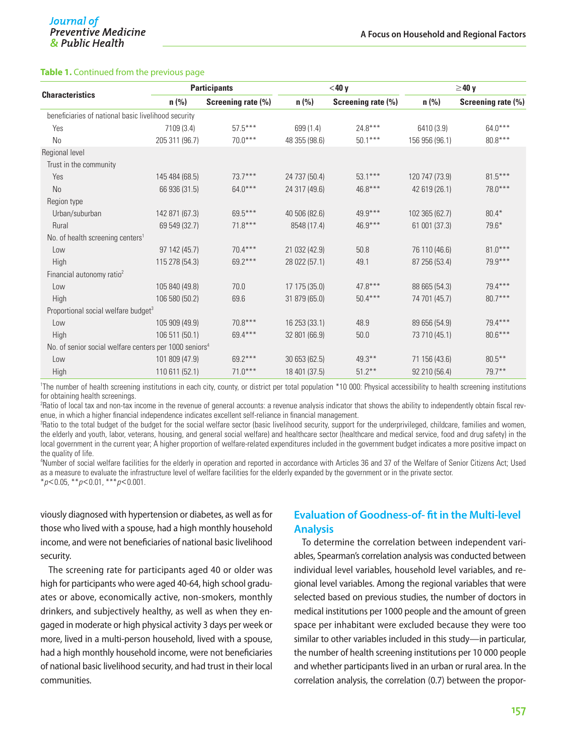#### **Table 1.** Continued from the previous page

|                                                                    |                | <b>Participants</b> |               | $<$ 40 y           |                | $\geq$ 40 y        |  |
|--------------------------------------------------------------------|----------------|---------------------|---------------|--------------------|----------------|--------------------|--|
| <b>Characteristics</b>                                             | $n$ (%)        | Screening rate (%)  | $n$ (%)       | Screening rate (%) | $n$ (%)        | Screening rate (%) |  |
| beneficiaries of national basic livelihood security                |                |                     |               |                    |                |                    |  |
| Yes                                                                | 7109 (3.4)     | $57.5***$           | 699 (1.4)     | $24.8***$          | 6410 (3.9)     | $64.0***$          |  |
| No                                                                 | 205 311 (96.7) | $70.0***$           | 48 355 (98.6) | $50.1***$          | 156 956 (96.1) | $80.8***$          |  |
| Regional level                                                     |                |                     |               |                    |                |                    |  |
| Trust in the community                                             |                |                     |               |                    |                |                    |  |
| Yes                                                                | 145 484 (68.5) | $73.7***$           | 24 737 (50.4) | $53.1***$          | 120 747 (73.9) | $81.5***$          |  |
| <b>No</b>                                                          | 66 936 (31.5)  | $64.0***$           | 24 317 (49.6) | $46.8***$          | 42 619 (26.1)  | $78.0***$          |  |
| Region type                                                        |                |                     |               |                    |                |                    |  |
| Urban/suburban                                                     | 142 871 (67.3) | $69.5***$           | 40 506 (82.6) | $49.9***$          | 102 365 (62.7) | $80.4*$            |  |
| Rural                                                              | 69 549 (32.7)  | $71.8***$           | 8548 (17.4)   | $46.9***$          | 61 001 (37.3)  | $79.6*$            |  |
| No. of health screening centers <sup>1</sup>                       |                |                     |               |                    |                |                    |  |
| Low                                                                | 97 142 (45.7)  | $70.4***$           | 21 032 (42.9) | 50.8               | 76 110 (46.6)  | $81.0***$          |  |
| High                                                               | 115 278 (54.3) | 69.2***             | 28 022 (57.1) | 49.1               | 87 256 (53.4)  | 79.9***            |  |
| Financial autonomy ratio <sup>2</sup>                              |                |                     |               |                    |                |                    |  |
| Low                                                                | 105 840 (49.8) | 70.0                | 17 175 (35.0) | $47.8***$          | 88 665 (54.3)  | $79.4***$          |  |
| High                                                               | 106 580 (50.2) | 69.6                | 31 879 (65.0) | $50.4***$          | 74 701 (45.7)  | $80.7***$          |  |
| Proportional social welfare budget <sup>3</sup>                    |                |                     |               |                    |                |                    |  |
| Low                                                                | 105 909 (49.9) | $70.8***$           | 16 253 (33.1) | 48.9               | 89 656 (54.9)  | 79.4***            |  |
| High                                                               | 106 511 (50.1) | $69.4***$           | 32 801 (66.9) | 50.0               | 73 710 (45.1)  | $80.6***$          |  |
| No. of senior social welfare centers per 1000 seniors <sup>4</sup> |                |                     |               |                    |                |                    |  |
| Low                                                                | 101 809 (47.9) | 69.2***             | 30 653 (62.5) | $49.3***$          | 71 156 (43.6)  | $80.5***$          |  |
| High                                                               | 110 611 (52.1) | $71.0***$           | 18 401 (37.5) | $51.2***$          | 92 210 (56.4)  | $79.7***$          |  |

1 The number of health screening institutions in each city, county, or district per total population \*10 000: Physical accessibility to health screening institutions for obtaining health screenings.

2 Ratio of local tax and non-tax income in the revenue of general accounts: a revenue analysis indicator that shows the ability to independently obtain fiscal revenue, in which a higher financial independence indicates excellent self-reliance in financial management.

<sup>3</sup>Ratio to the total budget of the budget for the social welfare sector (basic livelihood security, support for the underprivileged, childcare, families and women, the elderly and youth, labor, veterans, housing, and general social welfare) and healthcare sector (healthcare and medical service, food and drug safety) in the local government in the current year; A higher proportion of welfare-related expenditures included in the government budget indicates a more positive impact on the quality of life.

4 Number of social welfare facilities for the elderly in operation and reported in accordance with Articles 36 and 37 of the Welfare of Senior Citizens Act; Used as a measure to evaluate the infrastructure level of welfare facilities for the elderly expanded by the government or in the private sector. \**p*<0.05, \*\**p*<0.01, \*\*\**p*<0.001.

viously diagnosed with hypertension or diabetes, as well as for those who lived with a spouse, had a high monthly household income, and were not beneficiaries of national basic livelihood security.

The screening rate for participants aged 40 or older was high for participants who were aged 40-64, high school graduates or above, economically active, non-smokers, monthly drinkers, and subjectively healthy, as well as when they engaged in moderate or high physical activity 3 days per week or more, lived in a multi-person household, lived with a spouse, had a high monthly household income, were not beneficiaries of national basic livelihood security, and had trust in their local communities.

#### **Evaluation of Goodness-of- fit in the Multi-level Analysis**

To determine the correlation between independent variables, Spearman's correlation analysis was conducted between individual level variables, household level variables, and regional level variables. Among the regional variables that were selected based on previous studies, the number of doctors in medical institutions per 1000 people and the amount of green space per inhabitant were excluded because they were too similar to other variables included in this study—in particular, the number of health screening institutions per 10 000 people and whether participants lived in an urban or rural area. In the correlation analysis, the correlation (0.7) between the propor-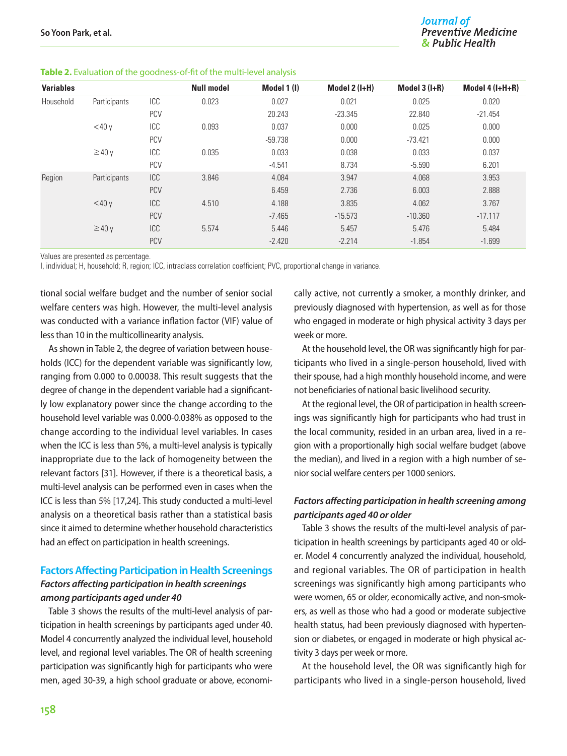| <b>Variables</b> |              |            | <b>Null model</b> | Model 1(I) | Model $2$ ( $I+H$ ) | Model $3$ ( $I+R$ ) | Model $4$ ( $I+H+R$ ) |
|------------------|--------------|------------|-------------------|------------|---------------------|---------------------|-----------------------|
| Household        | Participants | ICC        | 0.023             | 0.027      | 0.021               | 0.025               | 0.020                 |
|                  |              | <b>PCV</b> |                   | 20.243     | $-23.345$           | 22.840              | $-21.454$             |
|                  | $<$ 40 $v$   | ICC        | 0.093             | 0.037      | 0.000               | 0.025               | 0.000                 |
|                  |              | <b>PCV</b> |                   | $-59.738$  | 0.000               | $-73.421$           | 0.000                 |
|                  | $\geq$ 40 y  | ICC        | 0.035             | 0.033      | 0.038               | 0.033               | 0.037                 |
|                  |              | <b>PCV</b> |                   | $-4.541$   | 8.734               | $-5.590$            | 6.201                 |
| Region           | Participants | <b>ICC</b> | 3.846             | 4.084      | 3.947               | 4.068               | 3.953                 |
|                  |              | <b>PCV</b> |                   | 6.459      | 2.736               | 6.003               | 2.888                 |
|                  | $<$ 40 $v$   | ICC        | 4.510             | 4.188      | 3.835               | 4.062               | 3.767                 |
|                  |              | <b>PCV</b> |                   | $-7.465$   | $-15.573$           | $-10.360$           | $-17.117$             |
|                  | $\geq$ 40 y  | ICC        | 5.574             | 5.446      | 5.457               | 5.476               | 5.484                 |
|                  |              | <b>PCV</b> |                   | $-2.420$   | $-2.214$            | $-1.854$            | $-1.699$              |

Values are presented as percentage.

I, individual; H, household; R, region; ICC, intraclass correlation coefficient; PVC, proportional change in variance.

tional social welfare budget and the number of senior social welfare centers was high. However, the multi-level analysis was conducted with a variance inflation factor (VIF) value of less than 10 in the multicollinearity analysis.

As shown in Table 2, the degree of variation between households (ICC) for the dependent variable was significantly low, ranging from 0.000 to 0.00038. This result suggests that the degree of change in the dependent variable had a significantly low explanatory power since the change according to the household level variable was 0.000-0.038% as opposed to the change according to the individual level variables. In cases when the ICC is less than 5%, a multi-level analysis is typically inappropriate due to the lack of homogeneity between the relevant factors [31]. However, if there is a theoretical basis, a multi-level analysis can be performed even in cases when the ICC is less than 5% [17,24]. This study conducted a multi-level analysis on a theoretical basis rather than a statistical basis since it aimed to determine whether household characteristics had an effect on participation in health screenings.

#### **Factors Affecting Participation in Health Screenings** *Factors affecting participation in health screenings among participants aged under 40*

Table 3 shows the results of the multi-level analysis of participation in health screenings by participants aged under 40. Model 4 concurrently analyzed the individual level, household level, and regional level variables. The OR of health screening participation was significantly high for participants who were men, aged 30-39, a high school graduate or above, economically active, not currently a smoker, a monthly drinker, and previously diagnosed with hypertension, as well as for those who engaged in moderate or high physical activity 3 days per week or more.

At the household level, the OR was significantly high for participants who lived in a single-person household, lived with their spouse, had a high monthly household income, and were not beneficiaries of national basic livelihood security.

At the regional level, the OR of participation in health screenings was significantly high for participants who had trust in the local community, resided in an urban area, lived in a region with a proportionally high social welfare budget (above the median), and lived in a region with a high number of senior social welfare centers per 1000 seniors.

#### *Factors affecting participation in health screening among participants aged 40 or older*

Table 3 shows the results of the multi-level analysis of participation in health screenings by participants aged 40 or older. Model 4 concurrently analyzed the individual, household, and regional variables. The OR of participation in health screenings was significantly high among participants who were women, 65 or older, economically active, and non-smokers, as well as those who had a good or moderate subjective health status, had been previously diagnosed with hypertension or diabetes, or engaged in moderate or high physical activity 3 days per week or more.

At the household level, the OR was significantly high for participants who lived in a single-person household, lived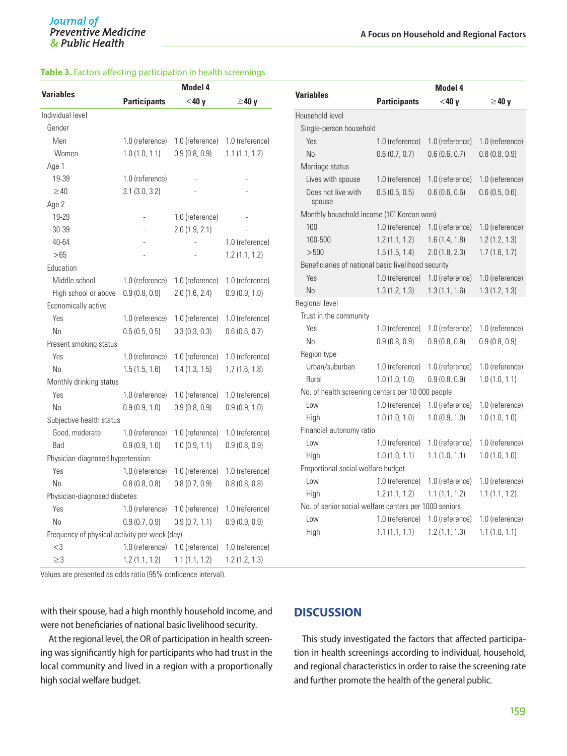#### **Table 3.** Factors affecting participation in health screenings

| <b>Variables</b>                              | Model 4                 |                 |                 |  |  |  |
|-----------------------------------------------|-------------------------|-----------------|-----------------|--|--|--|
|                                               | <b>Participants</b>     | $<$ 40 y        | $\geq$ 40 y     |  |  |  |
| Individual level                              |                         |                 |                 |  |  |  |
| Gender                                        |                         |                 |                 |  |  |  |
| Men                                           | 1.0 (reference)         | 1.0 (reference) | 1.0 (reference) |  |  |  |
| Women                                         | 1.0(1.0, 1.1)           | 0.9(0.8, 0.9)   | 1.1(1.1, 1.2)   |  |  |  |
| Age 1                                         |                         |                 |                 |  |  |  |
| 19-39                                         | 1.0 (reference)         |                 |                 |  |  |  |
| $\geq 40$                                     | $3.1$ ( $3.0$ , $3.2$ ) |                 |                 |  |  |  |
| Age 2                                         |                         |                 |                 |  |  |  |
| 19-29                                         | $\overline{a}$          | 1.0 (reference) |                 |  |  |  |
| 30-39                                         |                         | 2.0(1.9, 2.1)   |                 |  |  |  |
| 40-64                                         |                         | L,              | 1.0 (reference) |  |  |  |
| >65                                           |                         |                 | 1.2(1.1, 1.2)   |  |  |  |
| Education                                     |                         |                 |                 |  |  |  |
| Middle school                                 | 1.0 (reference)         | 1.0 (reference) | 1.0 (reference) |  |  |  |
| High school or above                          | 0.9(0.8, 0.9)           | 2.0(1.6, 2.4)   | 0.9(0.9, 1.0)   |  |  |  |
| Economically active                           |                         |                 |                 |  |  |  |
| Yes                                           | 1.0 (reference)         | 1.0 (reference) | 1.0 (reference) |  |  |  |
| No                                            | 0.5(0.5, 0.5)           | 0.3(0.3, 0.3)   | 0.6(0.6, 0.7)   |  |  |  |
| Present smoking status                        |                         |                 |                 |  |  |  |
| Yes                                           | 1.0 (reference)         | 1.0 (reference) | 1.0 (reference) |  |  |  |
| No                                            | 1.5(1.5, 1.6)           | 1.4(1.3, 1.5)   | 1.7(1.6, 1.8)   |  |  |  |
| Monthly drinking status                       |                         |                 |                 |  |  |  |
| Yes                                           | 1.0 (reference)         | 1.0 (reference) | 1.0 (reference) |  |  |  |
| No                                            | 0.9(0.9, 1.0)           | 0.9(0.8, 0.9)   | 0.9(0.9, 1.0)   |  |  |  |
| Subjective health status                      |                         |                 |                 |  |  |  |
| Good, moderate                                | 1.0 (reference)         | 1.0 (reference) | 1.0 (reference) |  |  |  |
| Bad                                           | 0.9(0.9, 1.0)           | 1.0(0.9, 1.1)   | 0.9(0.8, 0.9)   |  |  |  |
| Physician-diagnosed hypertension              |                         |                 |                 |  |  |  |
| Yes                                           | 1.0 (reference)         | 1.0 (reference) | 1.0 (reference) |  |  |  |
| No                                            | 0.8(0.8, 0.8)           | 0.8(0.7, 0.9)   | 0.8(0.8, 0.8)   |  |  |  |
| Physician-diagnosed diabetes                  |                         |                 |                 |  |  |  |
| Yes                                           | 1.0 (reference)         | 1.0 (reference) | 1.0 (reference) |  |  |  |
| No                                            | 0.9(0.7, 0.9)           | 0.9(0.7, 1.1)   | 0.9(0.9, 0.9)   |  |  |  |
| Frequency of physical activity per week (day) |                         |                 |                 |  |  |  |
| $<$ 3                                         | 1.0 (reference)         | 1.0 (reference) | 1.0 (reference) |  |  |  |
| $\geq$ 3                                      | 1.2(1.1, 1.2)           | 1.1(1.1, 1.2)   | 1.2(1.2, 1.3)   |  |  |  |

Values are presented as odds ratio (95% confidence interval).

with their spouse, had a high monthly household income, and were not beneficiaries of national basic livelihood security.

At the regional level, the OR of participation in health screening was significantly high for participants who had trust in the local community and lived in a region with a proportionally high social welfare budget.

|                                                       | Model 4             |                 |                 |  |  |  |  |
|-------------------------------------------------------|---------------------|-----------------|-----------------|--|--|--|--|
| <b>Variables</b>                                      | <b>Participants</b> | $<$ 40 v        | $\geq$ 40 y     |  |  |  |  |
| Household level                                       |                     |                 |                 |  |  |  |  |
| Single-person household                               |                     |                 |                 |  |  |  |  |
| Yes                                                   | 1.0 (reference)     | 1.0 (reference) | 1.0 (reference) |  |  |  |  |
| No                                                    | 0.6(0.7, 0.7)       | 0.6(0.6, 0.7)   | 0.8(0.8, 0.9)   |  |  |  |  |
| Marriage status                                       |                     |                 |                 |  |  |  |  |
| Lives with spouse                                     | 1.0 (reference)     | 1.0 (reference) | 1.0 (reference) |  |  |  |  |
| Does not live with<br>spouse                          | 0.5(0.5, 0.5)       | 0.6(0.6, 0.6)   | 0.6(0.5, 0.6)   |  |  |  |  |
| Monthly household income (10 <sup>4</sup> Korean won) |                     |                 |                 |  |  |  |  |
| 100                                                   | 1.0 (reference)     | 1.0 (reference) | 1.0 (reference) |  |  |  |  |
| 100-500                                               | 1.2(1.1, 1.2)       | 1.6(1.4, 1.8)   | 1.2(1.2, 1.3)   |  |  |  |  |
| >500                                                  | 1.5(1.5, 1.4)       | 2.0(1.8, 2.3)   | 1.7(1.6, 1.7)   |  |  |  |  |
| Beneficiaries of national basic livelihood security   |                     |                 |                 |  |  |  |  |
| Yes                                                   | 1.0 (reference)     | 1.0 (reference) | 1.0 (reference) |  |  |  |  |
| No                                                    | 1.3(1.2, 1.3)       | 1.3(1.1, 1.6)   | 1.3(1.2, 1.3)   |  |  |  |  |
| Regional level                                        |                     |                 |                 |  |  |  |  |
| Trust in the community                                |                     |                 |                 |  |  |  |  |
| Yes                                                   | 1.0 (reference)     | 1.0 (reference) | 1.0 (reference) |  |  |  |  |
| No                                                    | 0.9(0.8, 0.9)       | 0.9(0.8, 0.9)   | 0.9(0.8, 0.9)   |  |  |  |  |
| Region type                                           |                     |                 |                 |  |  |  |  |
| Urban/suburban                                        | 1.0 (reference)     | 1.0 (reference) | 1.0 (reference) |  |  |  |  |
| Rural                                                 | 1.0(1.0, 1.0)       | 0.9(0.8, 0.9)   | 1.0(1.0, 1.1)   |  |  |  |  |
| No. of health screening centers per 10 000 people     |                     |                 |                 |  |  |  |  |
| Low                                                   | 1.0 (reference)     | 1.0 (reference) | 1.0 (reference) |  |  |  |  |
| High                                                  | 1.0(1.0, 1.0)       | 1.0(0.9, 1.0)   | 1.0(1.0, 1.0)   |  |  |  |  |
| Financial autonomy ratio                              |                     |                 |                 |  |  |  |  |
| Low                                                   | 1.0 (reference)     | 1.0 (reference) | 1.0 (reference) |  |  |  |  |
| High                                                  | 1.0(1.0, 1.1)       | 1.1(1.0, 1.1)   | 1.0(1.0, 1.0)   |  |  |  |  |
| Proportional social welfare budget                    |                     |                 |                 |  |  |  |  |
| Low                                                   | 1.0 (reference)     | 1.0 (reference) | 1.0 (reference) |  |  |  |  |
| High                                                  | 1.2(1.1, 1.2)       | 1.1(1.1, 1.2)   | 1.1(1.1, 1.2)   |  |  |  |  |
| No. of senior social welfare centers per 1000 seniors |                     |                 |                 |  |  |  |  |
| Low                                                   | 1.0 (reference)     | 1.0 (reference) | 1.0 (reference) |  |  |  |  |
| High                                                  | 1.1(1.1, 1.1)       | 1.2(1.1, 1.3)   | 1.1(1.0, 1.1)   |  |  |  |  |

#### **DISCUSSION**

This study investigated the factors that affected participation in health screenings according to individual, household, and regional characteristics in order to raise the screening rate and further promote the health of the general public.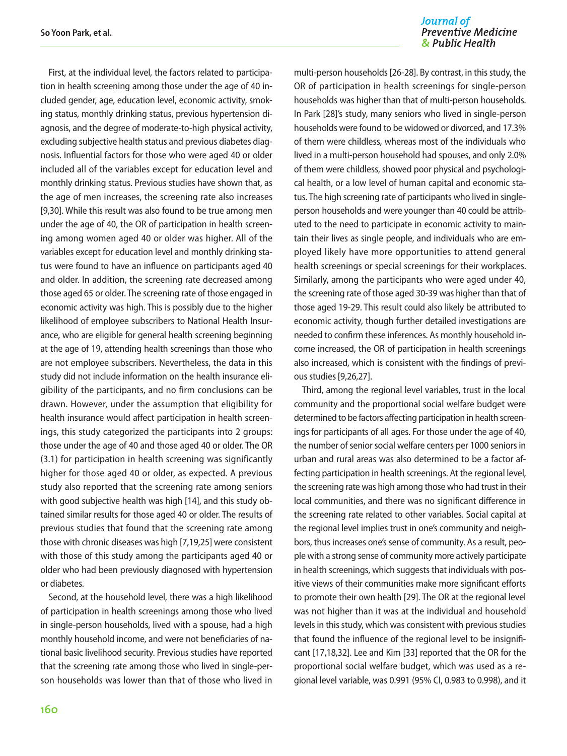First, at the individual level, the factors related to participation in health screening among those under the age of 40 included gender, age, education level, economic activity, smoking status, monthly drinking status, previous hypertension diagnosis, and the degree of moderate-to-high physical activity, excluding subjective health status and previous diabetes diagnosis. Influential factors for those who were aged 40 or older included all of the variables except for education level and monthly drinking status. Previous studies have shown that, as the age of men increases, the screening rate also increases [9,30]. While this result was also found to be true among men under the age of 40, the OR of participation in health screening among women aged 40 or older was higher. All of the variables except for education level and monthly drinking status were found to have an influence on participants aged 40 and older. In addition, the screening rate decreased among those aged 65 or older. The screening rate of those engaged in economic activity was high. This is possibly due to the higher likelihood of employee subscribers to National Health Insurance, who are eligible for general health screening beginning at the age of 19, attending health screenings than those who are not employee subscribers. Nevertheless, the data in this study did not include information on the health insurance eligibility of the participants, and no firm conclusions can be drawn. However, under the assumption that eligibility for health insurance would affect participation in health screenings, this study categorized the participants into 2 groups: those under the age of 40 and those aged 40 or older. The OR (3.1) for participation in health screening was significantly higher for those aged 40 or older, as expected. A previous study also reported that the screening rate among seniors with good subjective health was high [14], and this study obtained similar results for those aged 40 or older. The results of previous studies that found that the screening rate among those with chronic diseases was high [7,19,25] were consistent with those of this study among the participants aged 40 or older who had been previously diagnosed with hypertension or diabetes.

Second, at the household level, there was a high likelihood of participation in health screenings among those who lived in single-person households, lived with a spouse, had a high monthly household income, and were not beneficiaries of national basic livelihood security. Previous studies have reported that the screening rate among those who lived in single-person households was lower than that of those who lived in

#### Journal of **Preventive Medicine** & Public Health

multi-person households [26-28]. By contrast, in this study, the OR of participation in health screenings for single-person households was higher than that of multi-person households. In Park [28]'s study, many seniors who lived in single-person households were found to be widowed or divorced, and 17.3% of them were childless, whereas most of the individuals who lived in a multi-person household had spouses, and only 2.0% of them were childless, showed poor physical and psychological health, or a low level of human capital and economic status. The high screening rate of participants who lived in singleperson households and were younger than 40 could be attributed to the need to participate in economic activity to maintain their lives as single people, and individuals who are employed likely have more opportunities to attend general health screenings or special screenings for their workplaces. Similarly, among the participants who were aged under 40, the screening rate of those aged 30-39 was higher than that of those aged 19-29. This result could also likely be attributed to economic activity, though further detailed investigations are needed to confirm these inferences. As monthly household income increased, the OR of participation in health screenings also increased, which is consistent with the findings of previous studies [9,26,27].

Third, among the regional level variables, trust in the local community and the proportional social welfare budget were determined to be factors affecting participation in health screenings for participants of all ages. For those under the age of 40, the number of senior social welfare centers per 1000 seniors in urban and rural areas was also determined to be a factor affecting participation in health screenings. At the regional level, the screening rate was high among those who had trust in their local communities, and there was no significant difference in the screening rate related to other variables. Social capital at the regional level implies trust in one's community and neighbors, thus increases one's sense of community. As a result, people with a strong sense of community more actively participate in health screenings, which suggests that individuals with positive views of their communities make more significant efforts to promote their own health [29]. The OR at the regional level was not higher than it was at the individual and household levels in this study, which was consistent with previous studies that found the influence of the regional level to be insignificant [17,18,32]. Lee and Kim [33] reported that the OR for the proportional social welfare budget, which was used as a regional level variable, was 0.991 (95% CI, 0.983 to 0.998), and it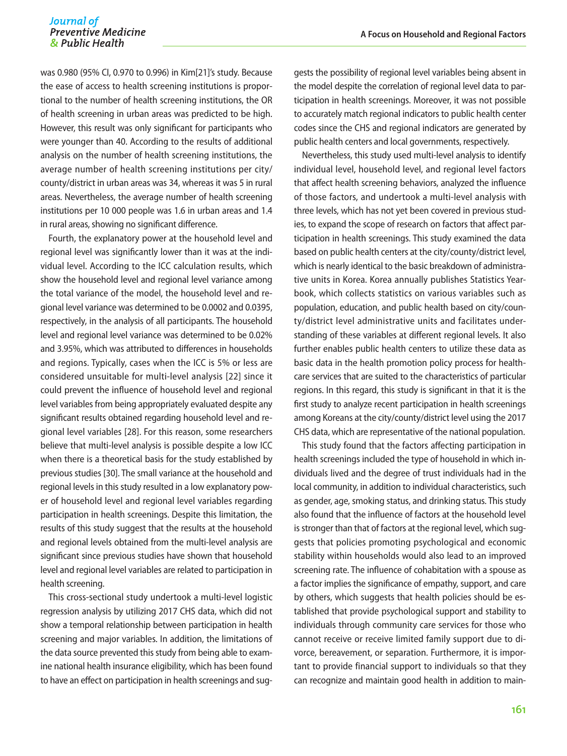was 0.980 (95% CI, 0.970 to 0.996) in Kim[21]'s study. Because the ease of access to health screening institutions is proportional to the number of health screening institutions, the OR of health screening in urban areas was predicted to be high. However, this result was only significant for participants who were younger than 40. According to the results of additional analysis on the number of health screening institutions, the average number of health screening institutions per city/ county/district in urban areas was 34, whereas it was 5 in rural areas. Nevertheless, the average number of health screening institutions per 10 000 people was 1.6 in urban areas and 1.4 in rural areas, showing no significant difference.

Fourth, the explanatory power at the household level and regional level was significantly lower than it was at the individual level. According to the ICC calculation results, which show the household level and regional level variance among the total variance of the model, the household level and regional level variance was determined to be 0.0002 and 0.0395, respectively, in the analysis of all participants. The household level and regional level variance was determined to be 0.02% and 3.95%, which was attributed to differences in households and regions. Typically, cases when the ICC is 5% or less are considered unsuitable for multi-level analysis [22] since it could prevent the influence of household level and regional level variables from being appropriately evaluated despite any significant results obtained regarding household level and regional level variables [28]. For this reason, some researchers believe that multi-level analysis is possible despite a low ICC when there is a theoretical basis for the study established by previous studies [30]. The small variance at the household and regional levels in this study resulted in a low explanatory power of household level and regional level variables regarding participation in health screenings. Despite this limitation, the results of this study suggest that the results at the household and regional levels obtained from the multi-level analysis are significant since previous studies have shown that household level and regional level variables are related to participation in health screening.

This cross-sectional study undertook a multi-level logistic regression analysis by utilizing 2017 CHS data, which did not show a temporal relationship between participation in health screening and major variables. In addition, the limitations of the data source prevented this study from being able to examine national health insurance eligibility, which has been found to have an effect on participation in health screenings and suggests the possibility of regional level variables being absent in the model despite the correlation of regional level data to participation in health screenings. Moreover, it was not possible to accurately match regional indicators to public health center codes since the CHS and regional indicators are generated by public health centers and local governments, respectively.

Nevertheless, this study used multi-level analysis to identify individual level, household level, and regional level factors that affect health screening behaviors, analyzed the influence of those factors, and undertook a multi-level analysis with three levels, which has not yet been covered in previous studies, to expand the scope of research on factors that affect participation in health screenings. This study examined the data based on public health centers at the city/county/district level, which is nearly identical to the basic breakdown of administrative units in Korea. Korea annually publishes Statistics Yearbook, which collects statistics on various variables such as population, education, and public health based on city/county/district level administrative units and facilitates understanding of these variables at different regional levels. It also further enables public health centers to utilize these data as basic data in the health promotion policy process for healthcare services that are suited to the characteristics of particular regions. In this regard, this study is significant in that it is the first study to analyze recent participation in health screenings among Koreans at the city/county/district level using the 2017 CHS data, which are representative of the national population.

This study found that the factors affecting participation in health screenings included the type of household in which individuals lived and the degree of trust individuals had in the local community, in addition to individual characteristics, such as gender, age, smoking status, and drinking status. This study also found that the influence of factors at the household level is stronger than that of factors at the regional level, which suggests that policies promoting psychological and economic stability within households would also lead to an improved screening rate. The influence of cohabitation with a spouse as a factor implies the significance of empathy, support, and care by others, which suggests that health policies should be established that provide psychological support and stability to individuals through community care services for those who cannot receive or receive limited family support due to divorce, bereavement, or separation. Furthermore, it is important to provide financial support to individuals so that they can recognize and maintain good health in addition to main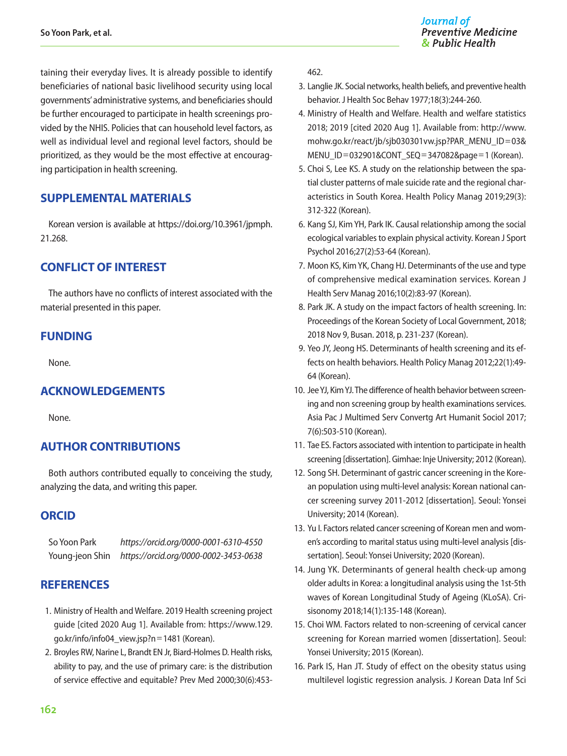taining their everyday lives. It is already possible to identify beneficiaries of national basic livelihood security using local governments' administrative systems, and beneficiaries should be further encouraged to participate in health screenings provided by the NHIS. Policies that can household level factors, as well as individual level and regional level factors, should be prioritized, as they would be the most effective at encouraging participation in health screening.

#### **SUPPLEMENTAL MATERIALS**

Korean version is available at [https://doi.org/10.3961/jpmph.](https://doi.org/10.3961/jpmph.21.268) [21.268.](https://doi.org/10.3961/jpmph.21.268)

#### **CONFLICT OF INTEREST**

The authors have no conflicts of interest associated with the material presented in this paper.

#### **FUNDING**

None.

#### **ACKNOWLEDGEMENTS**

None.

#### **AUTHOR CONTRIBUTIONS**

Both authors contributed equally to conceiving the study, analyzing the data, and writing this paper.

#### **ORCID**

So Yoon Park *https://orcid.org/0000-0001-6310-4550* Young-jeon Shin *https://orcid.org/0000-0002-3453-0638*

#### **REFERENCES**

- 1. Ministry of Health and Welfare. 2019 Health screening project guide [cited 2020 Aug 1]. Available from: [https://www.129.](https://www.129.go.kr/info/info04_view.jsp?n=1481) [go.kr/info/info04\\_view.jsp?n](https://www.129.go.kr/info/info04_view.jsp?n=1481)=1481 (Korean).
- 2. Broyles RW, Narine L, Brandt EN Jr, Biard-Holmes D. Health risks, ability to pay, and the use of primary care: is the distribution of service effective and equitable? Prev Med 2000;30(6):453-

462.

- 3. Langlie JK. Social networks, health beliefs, and preventive health behavior. J Health Soc Behav 1977;18(3):244-260.
- 4. Ministry of Health and Welfare. Health and welfare statistics 2018; 2019 [cited 2020 Aug 1]. Available from: [http://www.](http://www.mohw.go.kr/react/jb/sjb030301vw.jsp?PAR_MENU_ID=03&MENU_ID=032901&CONT_SEQ=347082&page=1) [mohw.go.kr/react/jb/sjb030301vw.jsp?PAR\\_MENU\\_ID](http://www.mohw.go.kr/react/jb/sjb030301vw.jsp?PAR_MENU_ID=03&MENU_ID=032901&CONT_SEQ=347082&page=1)=03& MENU\_ID=[032901&CONT\\_SEQ](http://www.mohw.go.kr/react/jb/sjb030301vw.jsp?PAR_MENU_ID=03&MENU_ID=032901&CONT_SEQ=347082&page=1)=347082&page=1 (Korean).
- 5. Choi S, Lee KS. A study on the relationship between the spatial cluster patterns of male suicide rate and the regional characteristics in South Korea. Health Policy Manag 2019;29(3): 312-322 (Korean).
- 6. Kang SJ, Kim YH, Park IK. Causal relationship among the social ecological variables to explain physical activity. Korean J Sport Psychol 2016;27(2):53-64 (Korean).
- 7. Moon KS, Kim YK, Chang HJ. Determinants of the use and type of comprehensive medical examination services. Korean J Health Serv Manag 2016;10(2):83-97 (Korean).
- 8. Park JK. A study on the impact factors of health screening. In: Proceedings of the Korean Society of Local Government, 2018; 2018 Nov 9, Busan. 2018, p. 231-237 (Korean).
- 9. Yeo JY, Jeong HS. Determinants of health screening and its effects on health behaviors. Health Policy Manag 2012;22(1):49- 64 (Korean).
- 10. Jee YJ, Kim YJ. The difference of health behavior between screening and non screening group by health examinations services. Asia Pac J Multimed Serv Convertg Art Humanit Sociol 2017; 7(6):503-510 (Korean).
- 11. Tae ES. Factors associated with intention to participate in health screening [dissertation]. Gimhae: Inje University; 2012 (Korean).
- 12. Song SH. Determinant of gastric cancer screening in the Korean population using multi-level analysis: Korean national cancer screening survey 2011-2012 [dissertation]. Seoul: Yonsei University; 2014 (Korean).
- 13. Yu I. Factors related cancer screening of Korean men and women's according to marital status using multi-level analysis [dissertation]. Seoul: Yonsei University; 2020 (Korean).
- 14. Jung YK. Determinants of general health check-up among older adults in Korea: a longitudinal analysis using the 1st-5th waves of Korean Longitudinal Study of Ageing (KLoSA). Crisisonomy 2018;14(1):135-148 (Korean).
- 15. Choi WM. Factors related to non-screening of cervical cancer screening for Korean married women [dissertation]. Seoul: Yonsei University; 2015 (Korean).
- 16. Park IS, Han JT. Study of effect on the obesity status using multilevel logistic regression analysis. J Korean Data Inf Sci